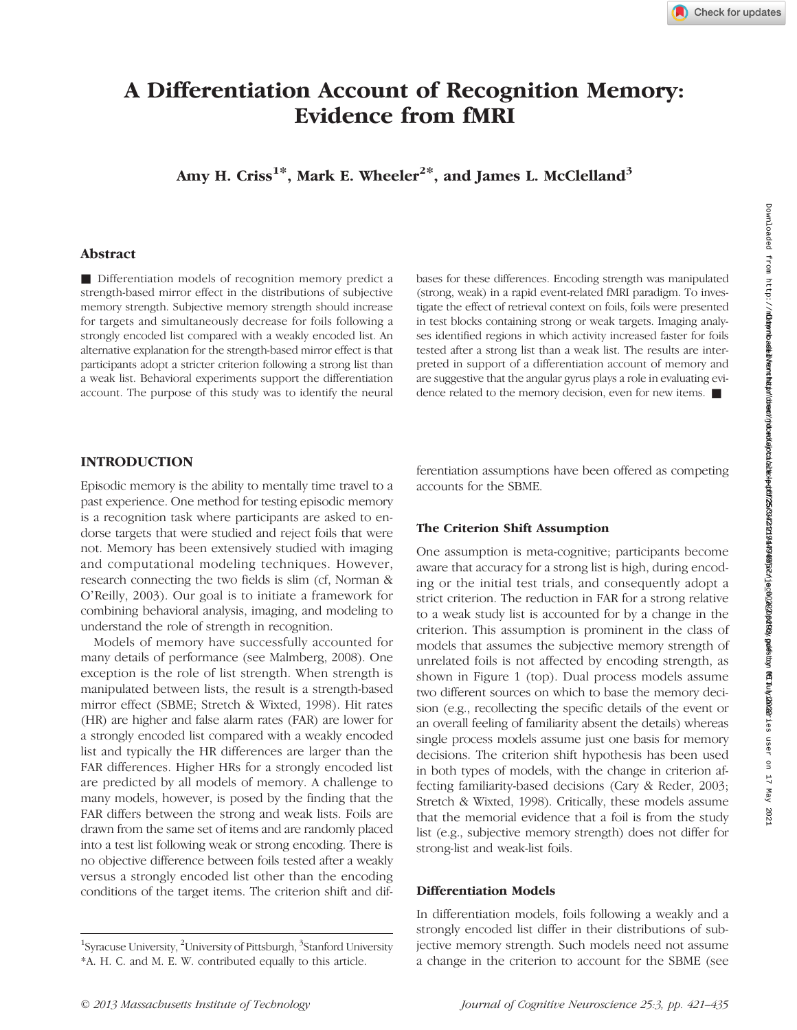# A Differentiation Account of Recognition Memory: Evidence from fMRI

Amy H. Criss<sup>1\*</sup>, Mark E. Wheeler<sup>2\*</sup>, and James L. McClelland<sup>3</sup>

# Downloaded from http://m**Downbaaedvienniphidrackjniend/prieder/adf/25(244344945)cnje\_60220460/gdates, getter of 17 May 2021<br>Downloaded from http://m<b>Downbaaedvienniphidrackjniend/prieder/25/2719449456019\_c0220460/gdates, 0** Downloaded from http://mitprc.silverchair.com/jocn/article-pdf/25/3/421/1778657/jocn\_a\_00292.pdf by MIT Libraries user on 17 May 2021 Downloaded from http://direct.mit.edu/jocn/article-pdf/25/3/421/1944949/jocn\_a\_00292.pdf by guest on 05 July 2022

# Abstract

■ Differentiation models of recognition memory predict a strength-based mirror effect in the distributions of subjective memory strength. Subjective memory strength should increase for targets and simultaneously decrease for foils following a strongly encoded list compared with a weakly encoded list. An alternative explanation for the strength-based mirror effect is that participants adopt a stricter criterion following a strong list than a weak list. Behavioral experiments support the differentiation account. The purpose of this study was to identify the neural bases for these differences. Encoding strength was manipulated (strong, weak) in a rapid event-related fMRI paradigm. To investigate the effect of retrieval context on foils, foils were presented in test blocks containing strong or weak targets. Imaging analyses identified regions in which activity increased faster for foils tested after a strong list than a weak list. The results are interpreted in support of a differentiation account of memory and are suggestive that the angular gyrus plays a role in evaluating evidence related to the memory decision, even for new items. ■

# INTRODUCTION

Episodic memory is the ability to mentally time travel to a past experience. One method for testing episodic memory is a recognition task where participants are asked to endorse targets that were studied and reject foils that were not. Memory has been extensively studied with imaging and computational modeling techniques. However, research connecting the two fields is slim (cf, Norman & O'Reilly, 2003). Our goal is to initiate a framework for combining behavioral analysis, imaging, and modeling to understand the role of strength in recognition.

Models of memory have successfully accounted for many details of performance (see Malmberg, 2008). One exception is the role of list strength. When strength is manipulated between lists, the result is a strength-based mirror effect (SBME; Stretch & Wixted, 1998). Hit rates (HR) are higher and false alarm rates (FAR) are lower for a strongly encoded list compared with a weakly encoded list and typically the HR differences are larger than the FAR differences. Higher HRs for a strongly encoded list are predicted by all models of memory. A challenge to many models, however, is posed by the finding that the FAR differs between the strong and weak lists. Foils are drawn from the same set of items and are randomly placed into a test list following weak or strong encoding. There is no objective difference between foils tested after a weakly versus a strongly encoded list other than the encoding conditions of the target items. The criterion shift and dif-

ferentiation assumptions have been offered as competing accounts for the SBME.

### The Criterion Shift Assumption

One assumption is meta-cognitive; participants become aware that accuracy for a strong list is high, during encoding or the initial test trials, and consequently adopt a strict criterion. The reduction in FAR for a strong relative to a weak study list is accounted for by a change in the criterion. This assumption is prominent in the class of models that assumes the subjective memory strength of unrelated foils is not affected by encoding strength, as shown in Figure 1 (top). Dual process models assume two different sources on which to base the memory decision (e.g., recollecting the specific details of the event or an overall feeling of familiarity absent the details) whereas single process models assume just one basis for memory decisions. The criterion shift hypothesis has been used in both types of models, with the change in criterion affecting familiarity-based decisions (Cary & Reder, 2003; Stretch & Wixted, 1998). Critically, these models assume that the memorial evidence that a foil is from the study list (e.g., subjective memory strength) does not differ for strong-list and weak-list foils.

# Differentiation Models

In differentiation models, foils following a weakly and a strongly encoded list differ in their distributions of subjective memory strength. Such models need not assume a change in the criterion to account for the SBME (see

<sup>&</sup>lt;sup>1</sup>Syracuse University, <sup>2</sup>University of Pittsburgh, <sup>3</sup>Stanford University \*A. H. C. and M. E. W. contributed equally to this article.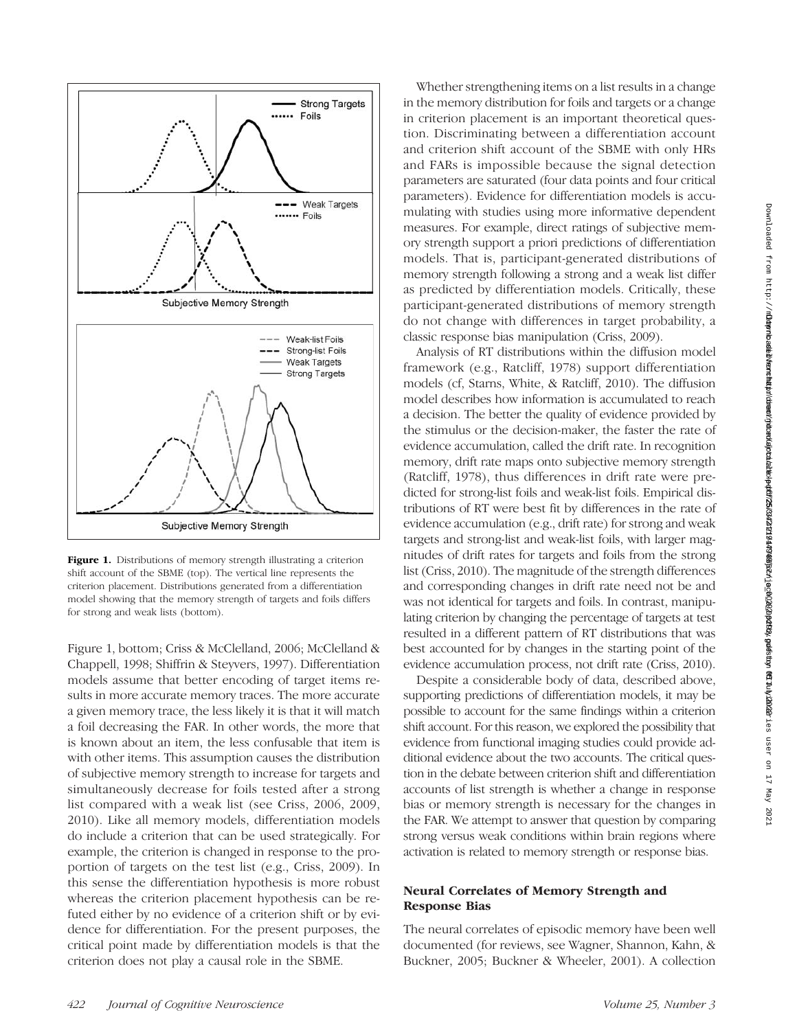

Figure 1. Distributions of memory strength illustrating a criterion shift account of the SBME (top). The vertical line represents the criterion placement. Distributions generated from a differentiation model showing that the memory strength of targets and foils differs for strong and weak lists (bottom).

Figure 1, bottom; Criss & McClelland, 2006; McClelland & Chappell, 1998; Shiffrin & Steyvers, 1997). Differentiation models assume that better encoding of target items results in more accurate memory traces. The more accurate a given memory trace, the less likely it is that it will match a foil decreasing the FAR. In other words, the more that is known about an item, the less confusable that item is with other items. This assumption causes the distribution of subjective memory strength to increase for targets and simultaneously decrease for foils tested after a strong list compared with a weak list (see Criss, 2006, 2009, 2010). Like all memory models, differentiation models do include a criterion that can be used strategically. For example, the criterion is changed in response to the proportion of targets on the test list (e.g., Criss, 2009). In this sense the differentiation hypothesis is more robust whereas the criterion placement hypothesis can be refuted either by no evidence of a criterion shift or by evidence for differentiation. For the present purposes, the critical point made by differentiation models is that the criterion does not play a causal role in the SBME.

Whether strengthening items on a list results in a change in the memory distribution for foils and targets or a change in criterion placement is an important theoretical question. Discriminating between a differentiation account and criterion shift account of the SBME with only HRs and FARs is impossible because the signal detection parameters are saturated (four data points and four critical parameters). Evidence for differentiation models is accumulating with studies using more informative dependent measures. For example, direct ratings of subjective memory strength support a priori predictions of differentiation models. That is, participant-generated distributions of memory strength following a strong and a weak list differ as predicted by differentiation models. Critically, these participant-generated distributions of memory strength do not change with differences in target probability, a classic response bias manipulation (Criss, 2009).

Analysis of RT distributions within the diffusion model framework (e.g., Ratcliff, 1978) support differentiation models (cf, Starns, White, & Ratcliff, 2010). The diffusion model describes how information is accumulated to reach a decision. The better the quality of evidence provided by the stimulus or the decision-maker, the faster the rate of evidence accumulation, called the drift rate. In recognition memory, drift rate maps onto subjective memory strength (Ratcliff, 1978), thus differences in drift rate were predicted for strong-list foils and weak-list foils. Empirical distributions of RT were best fit by differences in the rate of evidence accumulation (e.g., drift rate) for strong and weak targets and strong-list and weak-list foils, with larger magnitudes of drift rates for targets and foils from the strong list (Criss, 2010). The magnitude of the strength differences and corresponding changes in drift rate need not be and was not identical for targets and foils. In contrast, manipulating criterion by changing the percentage of targets at test resulted in a different pattern of RT distributions that was best accounted for by changes in the starting point of the evidence accumulation process, not drift rate (Criss, 2010).

Despite a considerable body of data, described above, supporting predictions of differentiation models, it may be possible to account for the same findings within a criterion shift account. For this reason, we explored the possibility that evidence from functional imaging studies could provide additional evidence about the two accounts. The critical question in the debate between criterion shift and differentiation accounts of list strength is whether a change in response bias or memory strength is necessary for the changes in the FAR. We attempt to answer that question by comparing strong versus weak conditions within brain regions where activation is related to memory strength or response bias.

# Neural Correlates of Memory Strength and Response Bias

The neural correlates of episodic memory have been well documented (for reviews, see Wagner, Shannon, Kahn, & Buckner, 2005; Buckner & Wheeler, 2001). A collection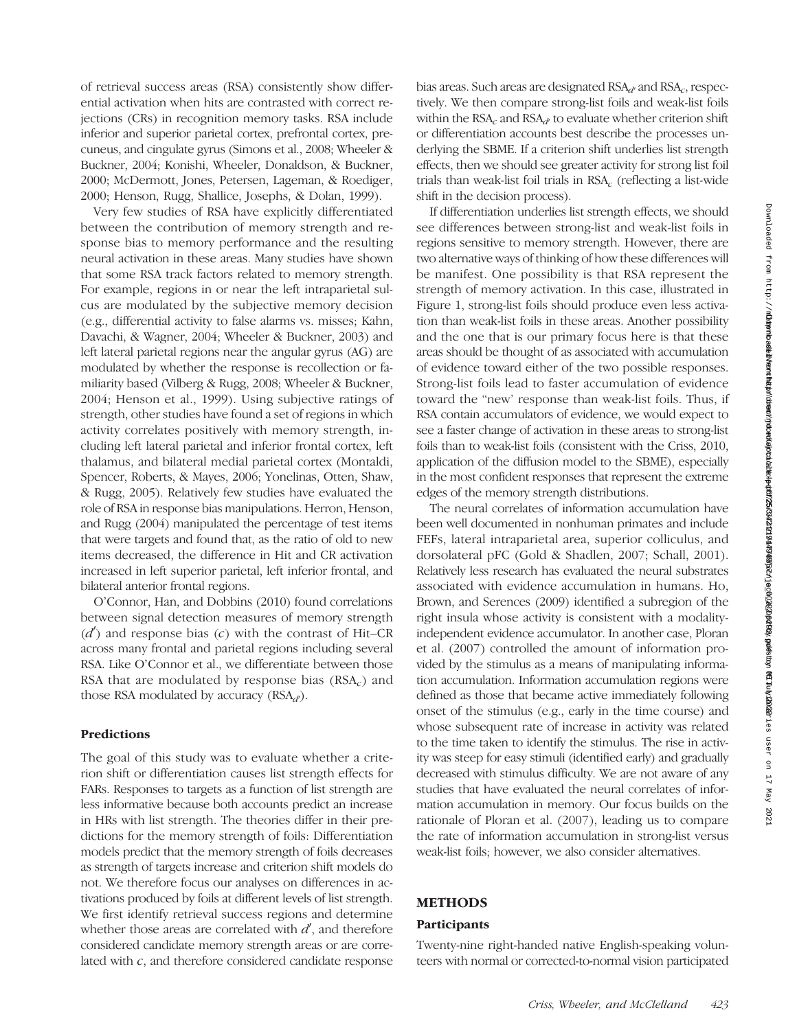of retrieval success areas (RSA) consistently show differential activation when hits are contrasted with correct rejections (CRs) in recognition memory tasks. RSA include inferior and superior parietal cortex, prefrontal cortex, precuneus, and cingulate gyrus (Simons et al., 2008; Wheeler & Buckner, 2004; Konishi, Wheeler, Donaldson, & Buckner, 2000; McDermott, Jones, Petersen, Lageman, & Roediger, 2000; Henson, Rugg, Shallice, Josephs, & Dolan, 1999).

Very few studies of RSA have explicitly differentiated between the contribution of memory strength and response bias to memory performance and the resulting neural activation in these areas. Many studies have shown that some RSA track factors related to memory strength. For example, regions in or near the left intraparietal sulcus are modulated by the subjective memory decision (e.g., differential activity to false alarms vs. misses; Kahn, Davachi, & Wagner, 2004; Wheeler & Buckner, 2003) and left lateral parietal regions near the angular gyrus (AG) are modulated by whether the response is recollection or familiarity based (Vilberg & Rugg, 2008; Wheeler & Buckner, 2004; Henson et al., 1999). Using subjective ratings of strength, other studies have found a set of regions in which activity correlates positively with memory strength, including left lateral parietal and inferior frontal cortex, left thalamus, and bilateral medial parietal cortex (Montaldi, Spencer, Roberts, & Mayes, 2006; Yonelinas, Otten, Shaw, & Rugg, 2005). Relatively few studies have evaluated the role of RSA in response bias manipulations. Herron, Henson, and Rugg (2004) manipulated the percentage of test items that were targets and found that, as the ratio of old to new items decreased, the difference in Hit and CR activation increased in left superior parietal, left inferior frontal, and bilateral anterior frontal regions.

O'Connor, Han, and Dobbins (2010) found correlations between signal detection measures of memory strength  $(d')$  and response bias  $(c)$  with the contrast of Hit–CR across many frontal and parietal regions including several RSA. Like O'Connor et al., we differentiate between those RSA that are modulated by response bias  $(RSA<sub>c</sub>)$  and those RSA modulated by accuracy  $(RSA_{d})$ .

#### Predictions

The goal of this study was to evaluate whether a criterion shift or differentiation causes list strength effects for FARs. Responses to targets as a function of list strength are less informative because both accounts predict an increase in HRs with list strength. The theories differ in their predictions for the memory strength of foils: Differentiation models predict that the memory strength of foils decreases as strength of targets increase and criterion shift models do not. We therefore focus our analyses on differences in activations produced by foils at different levels of list strength. We first identify retrieval success regions and determine whether those areas are correlated with  $d'$ , and therefore considered candidate memory strength areas or are correlated with c, and therefore considered candidate response

bias areas. Such areas are designated  $RSA_{d'}$  and  $RSA_{c}$ , respectively. We then compare strong-list foils and weak-list foils within the  $RSA_c$  and  $RSA_{d'}$  to evaluate whether criterion shift or differentiation accounts best describe the processes underlying the SBME. If a criterion shift underlies list strength effects, then we should see greater activity for strong list foil trials than weak-list foil trials in  $RSA<sub>c</sub>$  (reflecting a list-wide shift in the decision process).

If differentiation underlies list strength effects, we should see differences between strong-list and weak-list foils in regions sensitive to memory strength. However, there are two alternative ways of thinking of how these differences will be manifest. One possibility is that RSA represent the strength of memory activation. In this case, illustrated in Figure 1, strong-list foils should produce even less activation than weak-list foils in these areas. Another possibility and the one that is our primary focus here is that these areas should be thought of as associated with accumulation of evidence toward either of the two possible responses. Strong-list foils lead to faster accumulation of evidence toward the "new' response than weak-list foils. Thus, if RSA contain accumulators of evidence, we would expect to see a faster change of activation in these areas to strong-list foils than to weak-list foils (consistent with the Criss, 2010, application of the diffusion model to the SBME), especially in the most confident responses that represent the extreme edges of the memory strength distributions.

The neural correlates of information accumulation have been well documented in nonhuman primates and include FEFs, lateral intraparietal area, superior colliculus, and dorsolateral pFC (Gold & Shadlen, 2007; Schall, 2001). Relatively less research has evaluated the neural substrates associated with evidence accumulation in humans. Ho, Brown, and Serences (2009) identified a subregion of the right insula whose activity is consistent with a modalityindependent evidence accumulator. In another case, Ploran et al. (2007) controlled the amount of information provided by the stimulus as a means of manipulating information accumulation. Information accumulation regions were defined as those that became active immediately following onset of the stimulus (e.g., early in the time course) and whose subsequent rate of increase in activity was related to the time taken to identify the stimulus. The rise in activity was steep for easy stimuli (identified early) and gradually decreased with stimulus difficulty. We are not aware of any studies that have evaluated the neural correlates of information accumulation in memory. Our focus builds on the rationale of Ploran et al. (2007), leading us to compare the rate of information accumulation in strong-list versus weak-list foils; however, we also consider alternatives.

#### METHODS

#### Participants

Twenty-nine right-handed native English-speaking volunteers with normal or corrected-to-normal vision participated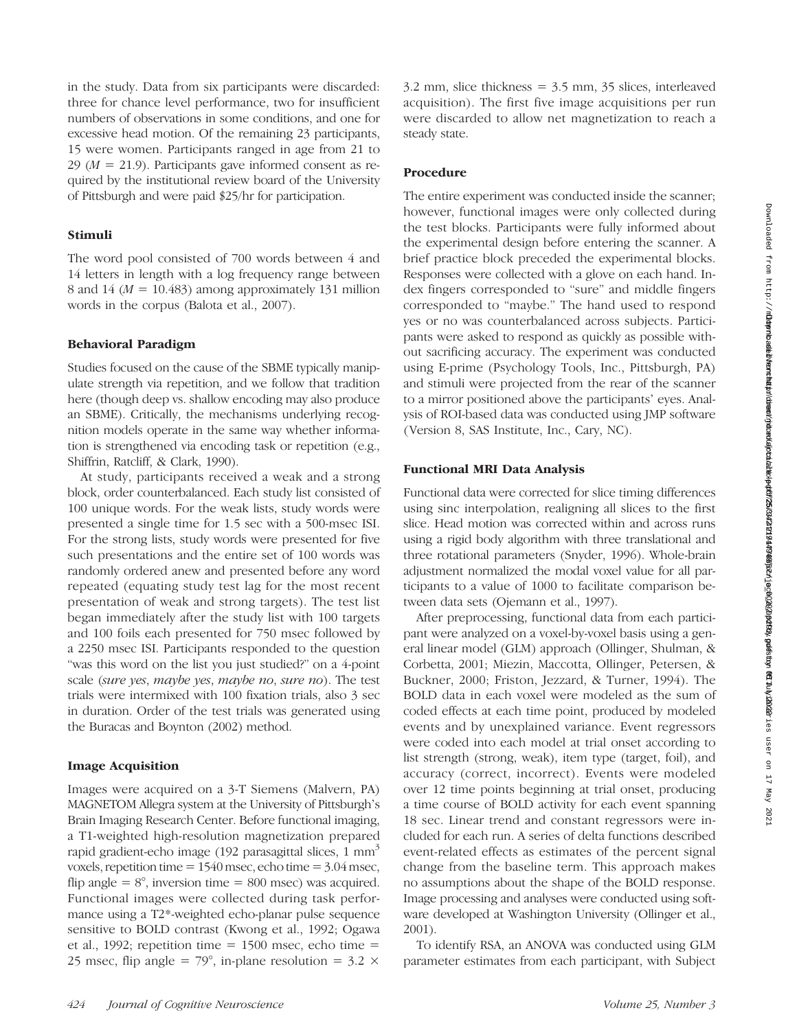in the study. Data from six participants were discarded: three for chance level performance, two for insufficient numbers of observations in some conditions, and one for excessive head motion. Of the remaining 23 participants, 15 were women. Participants ranged in age from 21 to 29 ( $M = 21.9$ ). Participants gave informed consent as required by the institutional review board of the University of Pittsburgh and were paid \$25/hr for participation.

# Stimuli

The word pool consisted of 700 words between 4 and 14 letters in length with a log frequency range between 8 and 14 ( $M = 10.483$ ) among approximately 131 million words in the corpus (Balota et al., 2007).

#### Behavioral Paradigm

Studies focused on the cause of the SBME typically manipulate strength via repetition, and we follow that tradition here (though deep vs. shallow encoding may also produce an SBME). Critically, the mechanisms underlying recognition models operate in the same way whether information is strengthened via encoding task or repetition (e.g., Shiffrin, Ratcliff, & Clark, 1990).

At study, participants received a weak and a strong block, order counterbalanced. Each study list consisted of 100 unique words. For the weak lists, study words were presented a single time for 1.5 sec with a 500-msec ISI. For the strong lists, study words were presented for five such presentations and the entire set of 100 words was randomly ordered anew and presented before any word repeated (equating study test lag for the most recent presentation of weak and strong targets). The test list began immediately after the study list with 100 targets and 100 foils each presented for 750 msec followed by a 2250 msec ISI. Participants responded to the question "was this word on the list you just studied?" on a 4-point scale (sure yes, maybe yes, maybe no, sure no). The test trials were intermixed with 100 fixation trials, also 3 sec in duration. Order of the test trials was generated using the Buracas and Boynton (2002) method.

# Image Acquisition

Images were acquired on a 3-T Siemens (Malvern, PA) MAGNETOM Allegra system at the University of Pittsburgh's Brain Imaging Research Center. Before functional imaging, a T1-weighted high-resolution magnetization prepared rapid gradient-echo image  $(192 \text{ parasagittal slices}, 1 \text{ mm}^3)$ voxels, repetition time  $= 1540$  msec, echo time  $= 3.04$  msec, flip angle  $= 8^\circ$ , inversion time  $= 800$  msec) was acquired. Functional images were collected during task performance using a T2\*-weighted echo-planar pulse sequence sensitive to BOLD contrast (Kwong et al., 1992; Ogawa et al., 1992; repetition time  $= 1500$  msec, echo time  $=$ 25 msec, flip angle =  $79^{\circ}$ , in-plane resolution =  $3.2 \times$ 

 $3.2$  mm, slice thickness =  $3.5$  mm,  $35$  slices, interleaved acquisition). The first five image acquisitions per run were discarded to allow net magnetization to reach a steady state.

# Procedure

The entire experiment was conducted inside the scanner; however, functional images were only collected during the test blocks. Participants were fully informed about the experimental design before entering the scanner. A brief practice block preceded the experimental blocks. Responses were collected with a glove on each hand. Index fingers corresponded to "sure" and middle fingers corresponded to "maybe." The hand used to respond yes or no was counterbalanced across subjects. Participants were asked to respond as quickly as possible without sacrificing accuracy. The experiment was conducted using E-prime (Psychology Tools, Inc., Pittsburgh, PA) and stimuli were projected from the rear of the scanner to a mirror positioned above the participants' eyes. Analysis of ROI-based data was conducted using JMP software (Version 8, SAS Institute, Inc., Cary, NC).

#### Functional MRI Data Analysis

Functional data were corrected for slice timing differences using sinc interpolation, realigning all slices to the first slice. Head motion was corrected within and across runs using a rigid body algorithm with three translational and three rotational parameters (Snyder, 1996). Whole-brain adjustment normalized the modal voxel value for all participants to a value of 1000 to facilitate comparison between data sets (Ojemann et al., 1997).

After preprocessing, functional data from each participant were analyzed on a voxel-by-voxel basis using a general linear model (GLM) approach (Ollinger, Shulman, & Corbetta, 2001; Miezin, Maccotta, Ollinger, Petersen, & Buckner, 2000; Friston, Jezzard, & Turner, 1994). The BOLD data in each voxel were modeled as the sum of coded effects at each time point, produced by modeled events and by unexplained variance. Event regressors were coded into each model at trial onset according to list strength (strong, weak), item type (target, foil), and accuracy (correct, incorrect). Events were modeled over 12 time points beginning at trial onset, producing a time course of BOLD activity for each event spanning 18 sec. Linear trend and constant regressors were included for each run. A series of delta functions described event-related effects as estimates of the percent signal change from the baseline term. This approach makes no assumptions about the shape of the BOLD response. Image processing and analyses were conducted using software developed at Washington University (Ollinger et al., 2001).

To identify RSA, an ANOVA was conducted using GLM parameter estimates from each participant, with Subject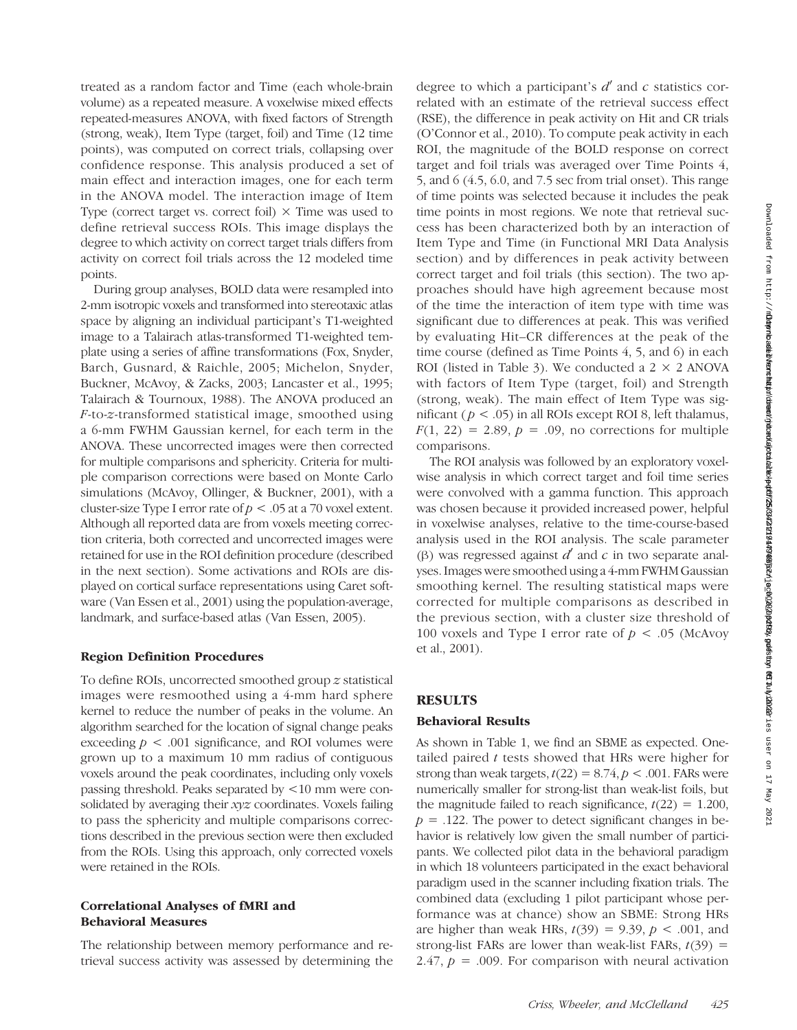treated as a random factor and Time (each whole-brain volume) as a repeated measure. A voxelwise mixed effects repeated-measures ANOVA, with fixed factors of Strength (strong, weak), Item Type (target, foil) and Time (12 time points), was computed on correct trials, collapsing over confidence response. This analysis produced a set of main effect and interaction images, one for each term in the ANOVA model. The interaction image of Item Type (correct target vs. correct foil)  $\times$  Time was used to define retrieval success ROIs. This image displays the degree to which activity on correct target trials differs from activity on correct foil trials across the 12 modeled time points.

During group analyses, BOLD data were resampled into 2-mm isotropic voxels and transformed into stereotaxic atlas space by aligning an individual participant's T1-weighted image to a Talairach atlas-transformed T1-weighted template using a series of affine transformations (Fox, Snyder, Barch, Gusnard, & Raichle, 2005; Michelon, Snyder, Buckner, McAvoy, & Zacks, 2003; Lancaster et al., 1995; Talairach & Tournoux, 1988). The ANOVA produced an F-to-z-transformed statistical image, smoothed using a 6-mm FWHM Gaussian kernel, for each term in the ANOVA. These uncorrected images were then corrected for multiple comparisons and sphericity. Criteria for multiple comparison corrections were based on Monte Carlo simulations (McAvoy, Ollinger, & Buckner, 2001), with a cluster-size Type I error rate of  $p < .05$  at a 70 voxel extent. Although all reported data are from voxels meeting correction criteria, both corrected and uncorrected images were retained for use in the ROI definition procedure (described in the next section). Some activations and ROIs are displayed on cortical surface representations using Caret software (Van Essen et al., 2001) using the population-average, landmark, and surface-based atlas (Van Essen, 2005).

#### Region Definition Procedures

To define ROIs, uncorrected smoothed group z statistical images were resmoothed using a 4-mm hard sphere kernel to reduce the number of peaks in the volume. An algorithm searched for the location of signal change peaks exceeding  $p < .001$  significance, and ROI volumes were grown up to a maximum 10 mm radius of contiguous voxels around the peak coordinates, including only voxels passing threshold. Peaks separated by <10 mm were consolidated by averaging their  $xyz$  coordinates. Voxels failing to pass the sphericity and multiple comparisons corrections described in the previous section were then excluded from the ROIs. Using this approach, only corrected voxels were retained in the ROIs.

#### Correlational Analyses of fMRI and Behavioral Measures

The relationship between memory performance and retrieval success activity was assessed by determining the

degree to which a participant's  $d'$  and c statistics correlated with an estimate of the retrieval success effect (RSE), the difference in peak activity on Hit and CR trials (O'Connor et al., 2010). To compute peak activity in each ROI, the magnitude of the BOLD response on correct target and foil trials was averaged over Time Points 4, 5, and 6 (4.5, 6.0, and 7.5 sec from trial onset). This range of time points was selected because it includes the peak time points in most regions. We note that retrieval success has been characterized both by an interaction of Item Type and Time (in Functional MRI Data Analysis section) and by differences in peak activity between correct target and foil trials (this section). The two approaches should have high agreement because most of the time the interaction of item type with time was significant due to differences at peak. This was verified by evaluating Hit–CR differences at the peak of the time course (defined as Time Points 4, 5, and 6) in each ROI (listed in Table 3). We conducted a  $2 \times 2$  ANOVA with factors of Item Type (target, foil) and Strength (strong, weak). The main effect of Item Type was significant ( $p < .05$ ) in all ROIs except ROI 8, left thalamus,  $F(1, 22) = 2.89$ ,  $p = .09$ , no corrections for multiple comparisons.

The ROI analysis was followed by an exploratory voxelwise analysis in which correct target and foil time series were convolved with a gamma function. This approach was chosen because it provided increased power, helpful in voxelwise analyses, relative to the time-course-based analysis used in the ROI analysis. The scale parameter (β) was regressed against  $d'$  and c in two separate analyses. Images were smoothed using a 4-mm FWHM Gaussian smoothing kernel. The resulting statistical maps were corrected for multiple comparisons as described in the previous section, with a cluster size threshold of 100 voxels and Type I error rate of  $p < .05$  (McAvoy et al., 2001).

# **RESULTS**

#### Behavioral Results

As shown in Table 1, we find an SBME as expected. Onetailed paired  $t$  tests showed that HRs were higher for strong than weak targets,  $t(22) = 8.74$ ,  $p < .001$ . FARs were numerically smaller for strong-list than weak-list foils, but the magnitude failed to reach significance,  $t(22) = 1.200$ ,  $p = 0.122$ . The power to detect significant changes in behavior is relatively low given the small number of participants. We collected pilot data in the behavioral paradigm in which 18 volunteers participated in the exact behavioral paradigm used in the scanner including fixation trials. The combined data (excluding 1 pilot participant whose performance was at chance) show an SBME: Strong HRs are higher than weak HRs,  $t(39) = 9.39$ ,  $p < .001$ , and strong-list FARs are lower than weak-list FARs,  $t(39)$  = 2.47,  $p = .009$ . For comparison with neural activation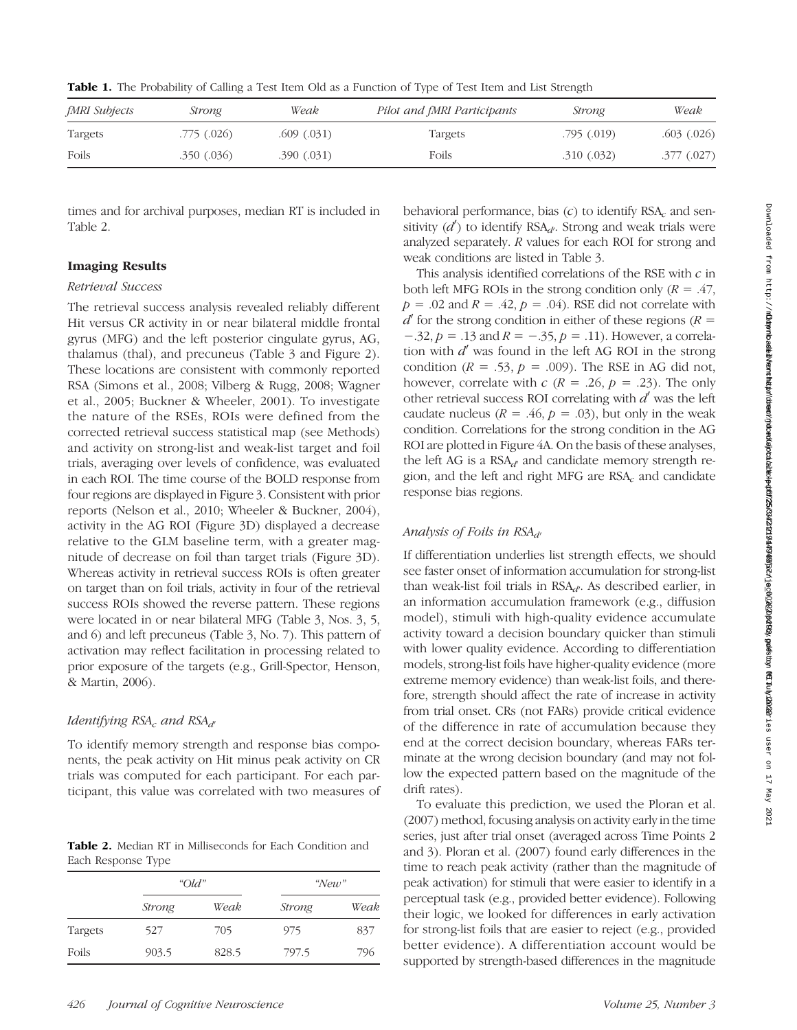Table 1. The Probability of Calling a Test Item Old as a Function of Type of Test Item and List Strength

| <i>fMRI Subjects</i> | Strong     | Weak        | Pilot and fMRI Participants | Strong     | Weak       |
|----------------------|------------|-------------|-----------------------------|------------|------------|
| Targets              | .775(.026) | .609 (.031) | Targets                     | .795(.019) | .603(.026) |
| Foils                | .350(.036) | .390(.031)  | Foils                       | .310(.032) | .377(.027) |

times and for archival purposes, median RT is included in Table 2.

# Imaging Results

# Retrieval Success

The retrieval success analysis revealed reliably different Hit versus CR activity in or near bilateral middle frontal gyrus (MFG) and the left posterior cingulate gyrus, AG, thalamus (thal), and precuneus (Table 3 and Figure 2). These locations are consistent with commonly reported RSA (Simons et al., 2008; Vilberg & Rugg, 2008; Wagner et al., 2005; Buckner & Wheeler, 2001). To investigate the nature of the RSEs, ROIs were defined from the corrected retrieval success statistical map (see Methods) and activity on strong-list and weak-list target and foil trials, averaging over levels of confidence, was evaluated in each ROI. The time course of the BOLD response from four regions are displayed in Figure 3. Consistent with prior reports (Nelson et al., 2010; Wheeler & Buckner, 2004), activity in the AG ROI (Figure 3D) displayed a decrease relative to the GLM baseline term, with a greater magnitude of decrease on foil than target trials (Figure 3D). Whereas activity in retrieval success ROIs is often greater on target than on foil trials, activity in four of the retrieval success ROIs showed the reverse pattern. These regions were located in or near bilateral MFG (Table 3, Nos. 3, 5, and 6) and left precuneus (Table 3, No. 7). This pattern of activation may reflect facilitation in processing related to prior exposure of the targets (e.g., Grill-Spector, Henson, & Martin, 2006).

# Identifying  $RSA_c$  and  $RSA_{d}$

To identify memory strength and response bias components, the peak activity on Hit minus peak activity on CR trials was computed for each participant. For each participant, this value was correlated with two measures of

Table 2. Median RT in Milliseconds for Each Condition and Each Response Type

|         | " $Old"$      |       | "New"  |      |  |
|---------|---------------|-------|--------|------|--|
|         | <i>Strong</i> | Weak  | Strong | Weak |  |
| Targets | 527           | 705   | 975    | 837  |  |
| Foils   | 903.5         | 828.5 | 797.5  | 796  |  |

behavioral performance, bias  $(c)$  to identify  $RSA_c$  and sensitivity  $(d')$  to identify  $\text{RSA}_{d'}$ . Strong and weak trials were analyzed separately. R values for each ROI for strong and weak conditions are listed in Table 3.

This analysis identified correlations of the RSE with  $c$  in both left MFG ROIs in the strong condition only ( $R = .47$ ,  $p = .02$  and  $R = .42$ ,  $p = .04$ ). RSE did not correlate with  $d'$  for the strong condition in either of these regions ( $R =$  $-0.32$ ,  $p = 0.13$  and  $R = -0.35$ ,  $p = 0.11$ . However, a correlation with  $d'$  was found in the left AG ROI in the strong condition ( $R = .53$ ,  $p = .009$ ). The RSE in AG did not, however, correlate with  $c (R = .26, p = .23)$ . The only other retrieval success ROI correlating with  $d'$  was the left caudate nucleus ( $R = .46$ ,  $p = .03$ ), but only in the weak condition. Correlations for the strong condition in the AG ROI are plotted in Figure 4A. On the basis of these analyses, the left AG is a  $RSA_{d'}$  and candidate memory strength region, and the left and right MFG are  $RSA_c$  and candidate response bias regions.

# Analysis of Foils in  $RSA_{d}$

If differentiation underlies list strength effects, we should see faster onset of information accumulation for strong-list than weak-list foil trials in  $RSA_{d}$ . As described earlier, in an information accumulation framework (e.g., diffusion model), stimuli with high-quality evidence accumulate activity toward a decision boundary quicker than stimuli with lower quality evidence. According to differentiation models, strong-list foils have higher-quality evidence (more extreme memory evidence) than weak-list foils, and therefore, strength should affect the rate of increase in activity from trial onset. CRs (not FARs) provide critical evidence of the difference in rate of accumulation because they end at the correct decision boundary, whereas FARs terminate at the wrong decision boundary (and may not follow the expected pattern based on the magnitude of the drift rates).

To evaluate this prediction, we used the Ploran et al. (2007) method, focusing analysis on activity early in the time series, just after trial onset (averaged across Time Points 2 and 3). Ploran et al. (2007) found early differences in the time to reach peak activity (rather than the magnitude of peak activation) for stimuli that were easier to identify in a perceptual task (e.g., provided better evidence). Following their logic, we looked for differences in early activation for strong-list foils that are easier to reject (e.g., provided better evidence). A differentiation account would be supported by strength-based differences in the magnitude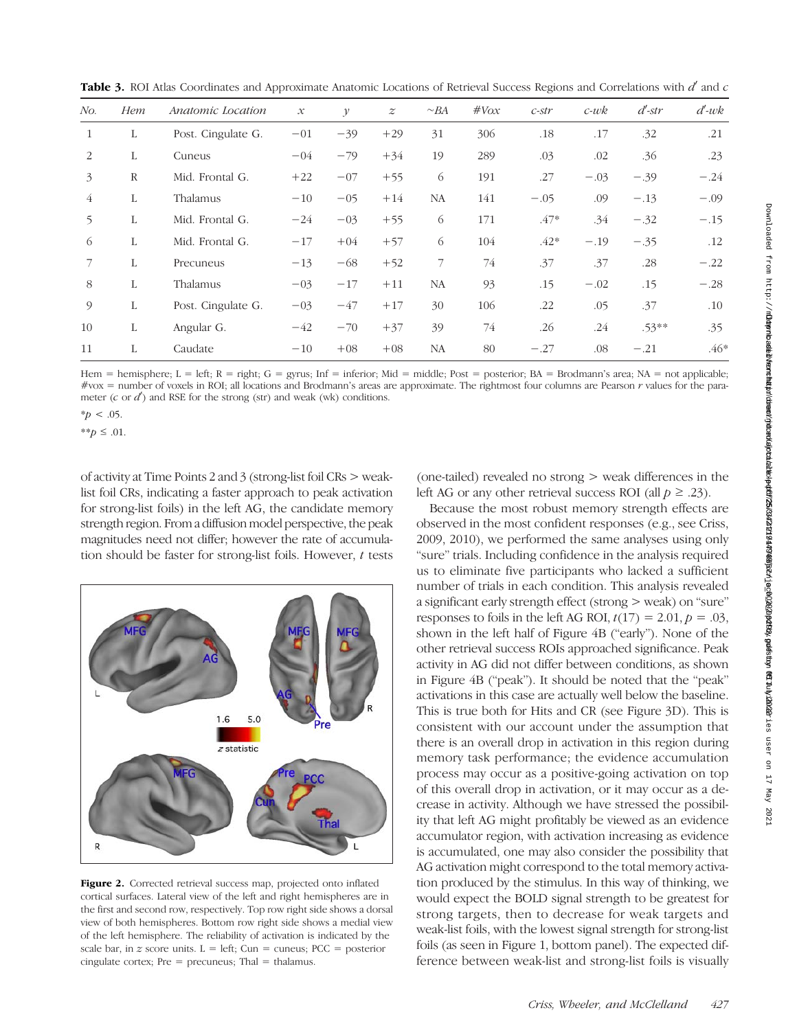| No.            | Hem          | Anatomic Location  | $\mathcal{X}% _{0}$ | $\mathcal{Y}$ | $\boldsymbol{z}$ | $\sim$ BA | $\#Vox$ | $c$ -str | $c$ -w $k$ | $d'$ -str | $d'$ -wk |
|----------------|--------------|--------------------|---------------------|---------------|------------------|-----------|---------|----------|------------|-----------|----------|
|                | L            | Post. Cingulate G. | $-01$               | $-39$         | $+29$            | 31        | 306     | .18      | .17        | .32       | .21      |
| $\overline{2}$ | L            | Cuneus             | $-04$               | $-79$         | $+34$            | 19        | 289     | .03      | .02        | .36       | .23      |
| 3              | $\mathbb{R}$ | Mid. Frontal G.    | $+22$               | $-07$         | $+55$            | 6         | 191     | .27      | $-.03$     | $-.39$    | $-.24$   |
| 4              | L            | Thalamus           | $-10$               | $-05$         | $+14$            | NA        | 141     | $-.05$   | .09        | $-.13$    | $-.09$   |
| 5              | L            | Mid. Frontal G.    | $-24$               | $-03$         | $+55$            | 6         | 171     | $.47*$   | .34        | $-.32$    | $-.15$   |
| 6              | L            | Mid. Frontal G.    | $-17$               | $+04$         | $+57$            | 6         | 104     | $.42*$   | $-.19$     | $-.35$    | .12      |
|                | L            | Precuneus          | $-13$               | $-68$         | $+52$            | 7         | 74      | .37      | .37        | .28       | $-.22$   |
| 8              | L            | Thalamus           | $-03$               | $-17$         | $+11$            | <b>NA</b> | 93      | .15      | $-.02$     | .15       | $-.28$   |
| 9              | L            | Post. Cingulate G. | $-03$               | $-47$         | $+17$            | 30        | 106     | .22      | .05        | .37       | .10      |
| 10             | L            | Angular G.         | $-42$               | $-70$         | $+37$            | 39        | 74      | .26      | .24        | $.53**$   | .35      |
| 11             | L            | Caudate            | $-10$               | $+08$         | $+08$            | NA        | 80      | $-.27$   | .08        | $-.21$    | .46*     |

**Table 3.** ROI Atlas Coordinates and Approximate Anatomic Locations of Retrieval Success Regions and Correlations with  $d'$  and c

Hem = hemisphere; L = left; R = right; G = gyrus; Inf = inferior; Mid = middle; Post = posterior; BA = Brodmann's area; NA = not applicable;  $\#$ vox = number of voxels in ROI; all locations and Brodmann's areas are approximate. The rightmost four columns are Pearson  $r$  values for the parameter  $(c \text{ or } d')$  and RSE for the strong (str) and weak (wk) conditions.

 $* p < .05$ .

\*\*p ≤ .01.

of activity at Time Points 2 and 3 (strong-list foil CRs > weaklist foil CRs, indicating a faster approach to peak activation for strong-list foils) in the left AG, the candidate memory strength region. From a diffusion model perspective, the peak magnitudes need not differ; however the rate of accumulation should be faster for strong-list foils. However, t tests



Figure 2. Corrected retrieval success map, projected onto inflated cortical surfaces. Lateral view of the left and right hemispheres are in the first and second row, respectively. Top row right side shows a dorsal view of both hemispheres. Bottom row right side shows a medial view of the left hemisphere. The reliability of activation is indicated by the scale bar, in  $z$  score units. L = left; Cun = cuneus; PCC = posterior cingulate cortex;  $Pre = precuneus$ ; Thal = thalamus.

(one-tailed) revealed no strong > weak differences in the left AG or any other retrieval success ROI (all  $p \geq .23$ ).

Because the most robust memory strength effects are observed in the most confident responses (e.g., see Criss, 2009, 2010), we performed the same analyses using only "sure" trials. Including confidence in the analysis required us to eliminate five participants who lacked a sufficient number of trials in each condition. This analysis revealed a significant early strength effect (strong > weak) on "sure" responses to foils in the left AG ROI,  $t(17) = 2.01$ ,  $p = .03$ , shown in the left half of Figure 4B ("early"). None of the other retrieval success ROIs approached significance. Peak activity in AG did not differ between conditions, as shown in Figure 4B ("peak"). It should be noted that the "peak" activations in this case are actually well below the baseline. This is true both for Hits and CR (see Figure 3D). This is consistent with our account under the assumption that there is an overall drop in activation in this region during memory task performance; the evidence accumulation process may occur as a positive-going activation on top of this overall drop in activation, or it may occur as a decrease in activity. Although we have stressed the possibility that left AG might profitably be viewed as an evidence accumulator region, with activation increasing as evidence is accumulated, one may also consider the possibility that AG activation might correspond to the total memory activation produced by the stimulus. In this way of thinking, we would expect the BOLD signal strength to be greatest for strong targets, then to decrease for weak targets and weak-list foils, with the lowest signal strength for strong-list foils (as seen in Figure 1, bottom panel). The expected difference between weak-list and strong-list foils is visually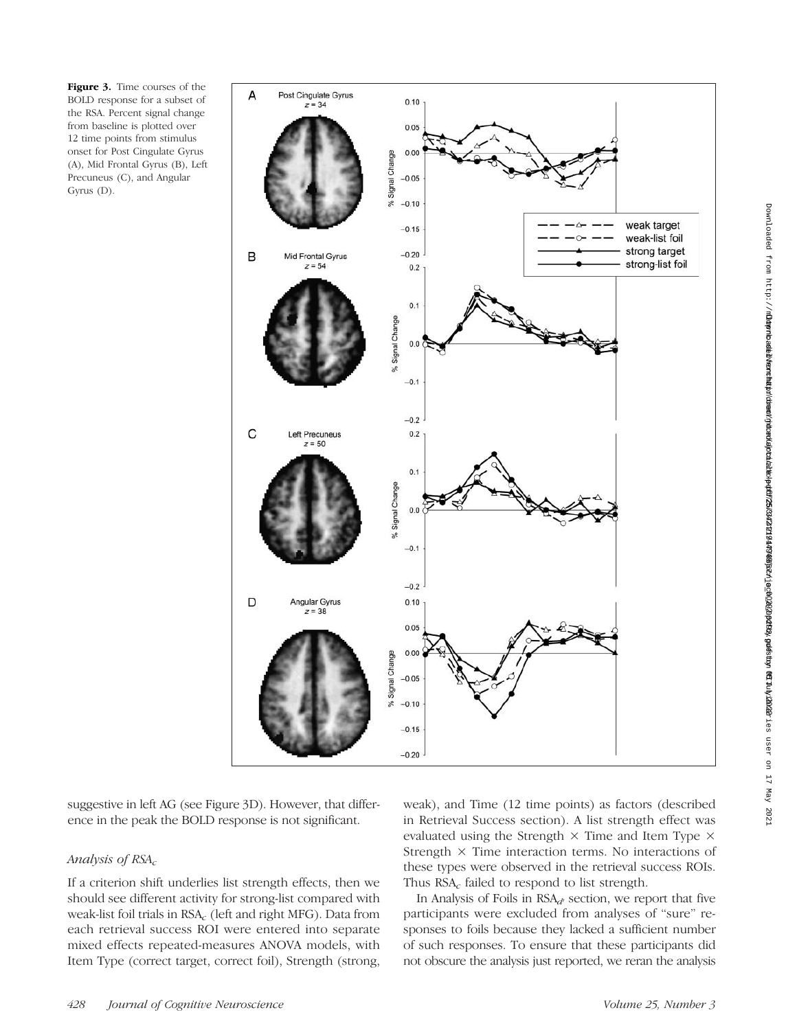Figure 3. Time courses of the BOLD response for a subset of the RSA. Percent signal change from baseline is plotted over 12 time points from stimulus onset for Post Cingulate Gyrus (A), Mid Frontal Gyrus (B), Left Precuneus (C), and Angular Gyrus (D).



suggestive in left AG (see Figure 3D). However, that difference in the peak the BOLD response is not significant.

# Analysis of  $RSA_c$

If a criterion shift underlies list strength effects, then we should see different activity for strong-list compared with weak-list foil trials in  $RSA_c$  (left and right MFG). Data from each retrieval success ROI were entered into separate mixed effects repeated-measures ANOVA models, with Item Type (correct target, correct foil), Strength (strong,

weak), and Time (12 time points) as factors (described in Retrieval Success section). A list strength effect was evaluated using the Strength  $\times$  Time and Item Type  $\times$ Strength  $\times$  Time interaction terms. No interactions of these types were observed in the retrieval success ROIs. Thus  $RSA<sub>c</sub>$  failed to respond to list strength.

In Analysis of Foils in  $RSA_{d'}$  section, we report that five participants were excluded from analyses of "sure" responses to foils because they lacked a sufficient number of such responses. To ensure that these participants did not obscure the analysis just reported, we reran the analysis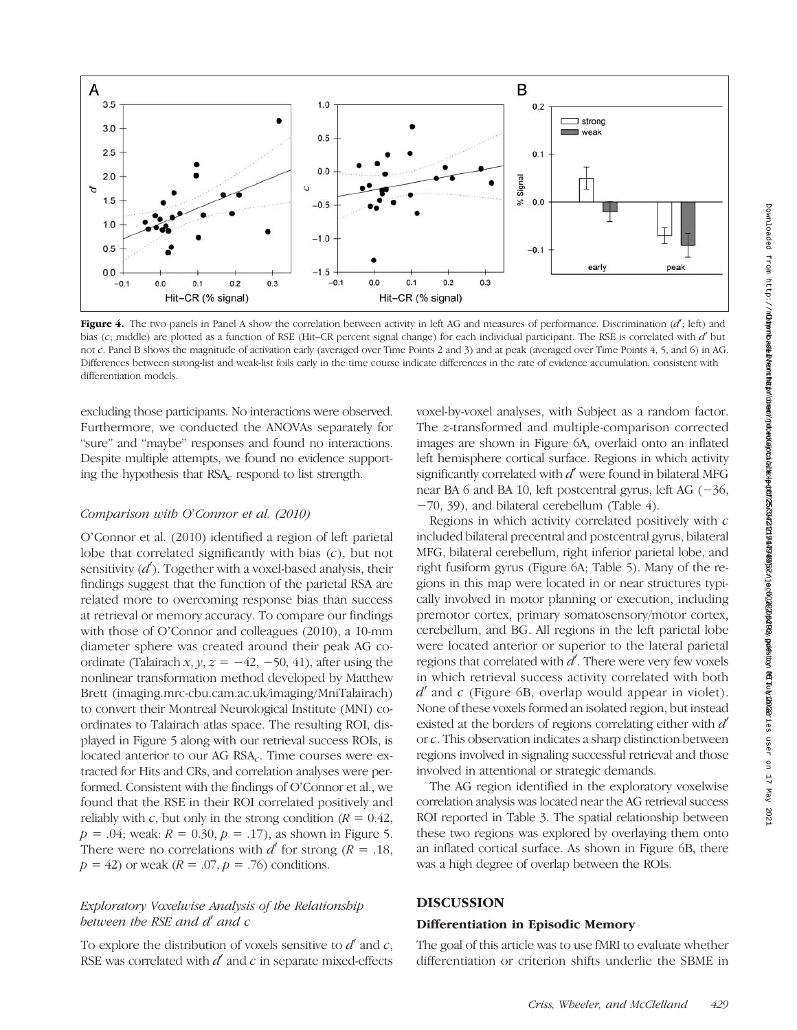

**Figure 4.** The two panels in Panel A show the correlation between activity in left AG and measures of performance. Discrimination  $(d'$ ; left) and bias  $(c;$  middle) are plotted as a function of RSE (Hit–CR percent signal change) for each individual participant. The RSE is correlated with  $d'$  but not c. Panel B shows the magnitude of activation early (averaged over Time Points 2 and 3) and at peak (averaged over Time Points 4, 5, and 6) in AG. Differences between strong-list and weak-list foils early in the time course indicate differences in the rate of evidence accumulation, consistent with differentiation models.

excluding those participants. No interactions were observed. Furthermore, we conducted the ANOVAs separately for "sure" and "maybe" responses and found no interactions. Despite multiple attempts, we found no evidence supporting the hypothesis that RSA<sub>c</sub> respond to list strength.

#### Comparison with O'Connor et al. (2010)

O'Connor et al. (2010) identified a region of left parietal lobe that correlated significantly with bias (c), but not sensitivity  $(d')$ . Together with a voxel-based analysis, their findings suggest that the function of the parietal RSA are related more to overcoming response bias than success at retrieval or memory accuracy. To compare our findings with those of O'Connor and colleagues (2010), a 10-mm diameter sphere was created around their peak AG coordinate (Talairach x, y,  $z = -42, -50, 41$ ), after using the nonlinear transformation method developed by Matthew Brett (imaging.mrc-cbu.cam.ac.uk/imaging/MniTalairach) to convert their Montreal Neurological Institute (MNI) coordinates to Talairach atlas space. The resulting ROI, displayed in Figure 5 along with our retrieval success ROIs, is located anterior to our AG  $RSA<sub>c</sub>$ . Time courses were extracted for Hits and CRs, and correlation analyses were performed. Consistent with the findings of O'Connor et al., we found that the RSE in their ROI correlated positively and reliably with c, but only in the strong condition ( $R = 0.42$ ,  $p = .04$ ; weak:  $R = 0.30, p = .17$ , as shown in Figure 5. There were no correlations with  $d'$  for strong ( $R = .18$ ,  $p = 42$ ) or weak  $(R = .07, p = .76)$  conditions.

# Exploratory Voxelwise Analysis of the Relationship between the RSE and  $d'$  and  $c$

To explore the distribution of voxels sensitive to  $d'$  and c, RSE was correlated with  $d'$  and c in separate mixed-effects

voxel-by-voxel analyses, with Subject as a random factor. The z-transformed and multiple-comparison corrected images are shown in Figure 6A, overlaid onto an inflated left hemisphere cortical surface. Regions in which activity significantly correlated with  $d'$  were found in bilateral MFG near BA 6 and BA 10, left postcentral gyrus, left AG (−36, −70, 39), and bilateral cerebellum (Table 4).

Regions in which activity correlated positively with  $c$ included bilateral precentral and postcentral gyrus, bilateral MFG, bilateral cerebellum, right inferior parietal lobe, and right fusiform gyrus (Figure 6A; Table 5). Many of the regions in this map were located in or near structures typically involved in motor planning or execution, including premotor cortex, primary somatosensory/motor cortex, cerebellum, and BG. All regions in the left parietal lobe were located anterior or superior to the lateral parietal regions that correlated with  $d'$ . There were very few voxels in which retrieval success activity correlated with both  $d'$  and c (Figure 6B, overlap would appear in violet). None of these voxels formed an isolated region, but instead existed at the borders of regions correlating either with  $d'$ or c. This observation indicates a sharp distinction between regions involved in signaling successful retrieval and those involved in attentional or strategic demands.

The AG region identified in the exploratory voxelwise correlation analysis was located near the AG retrieval success ROI reported in Table 3. The spatial relationship between these two regions was explored by overlaying them onto an inflated cortical surface. As shown in Figure 6B, there was a high degree of overlap between the ROIs.

# DISCUSSION

# Differentiation in Episodic Memory

The goal of this article was to use fMRI to evaluate whether differentiation or criterion shifts underlie the SBME in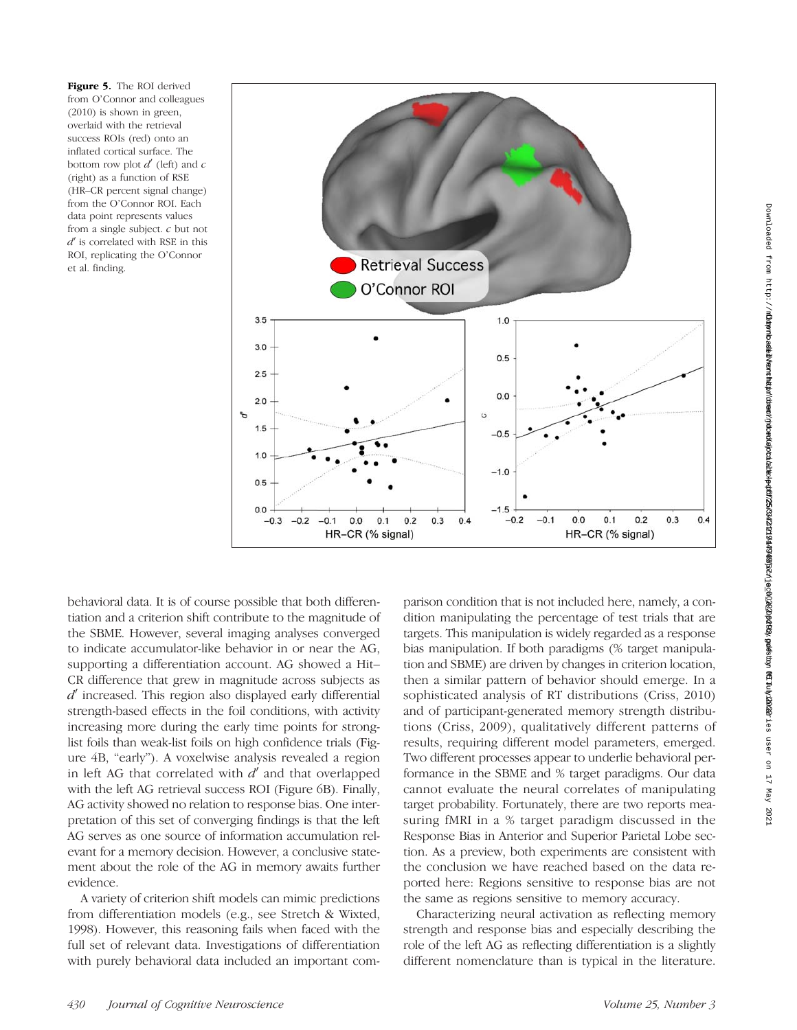Figure 5. The ROI derived from O'Connor and colleagues (2010) is shown in green, overlaid with the retrieval success ROIs (red) onto an inflated cortical surface. The bottom row plot  $d'$  (left) and c (right) as a function of RSE (HR–CR percent signal change) from the O'Connor ROI. Each data point represents values from a single subject. c but not  $d'$  is correlated with RSE in this ROI, replicating the O'Connor et al. finding.



behavioral data. It is of course possible that both differentiation and a criterion shift contribute to the magnitude of the SBME. However, several imaging analyses converged to indicate accumulator-like behavior in or near the AG, supporting a differentiation account. AG showed a Hit– CR difference that grew in magnitude across subjects as  $d'$  increased. This region also displayed early differential strength-based effects in the foil conditions, with activity increasing more during the early time points for stronglist foils than weak-list foils on high confidence trials (Figure 4B, "early"). A voxelwise analysis revealed a region in left AG that correlated with  $d'$  and that overlapped with the left AG retrieval success ROI (Figure 6B). Finally, AG activity showed no relation to response bias. One interpretation of this set of converging findings is that the left AG serves as one source of information accumulation relevant for a memory decision. However, a conclusive statement about the role of the AG in memory awaits further evidence.

A variety of criterion shift models can mimic predictions from differentiation models (e.g., see Stretch & Wixted, 1998). However, this reasoning fails when faced with the full set of relevant data. Investigations of differentiation with purely behavioral data included an important comparison condition that is not included here, namely, a condition manipulating the percentage of test trials that are targets. This manipulation is widely regarded as a response bias manipulation. If both paradigms (% target manipulation and SBME) are driven by changes in criterion location, then a similar pattern of behavior should emerge. In a sophisticated analysis of RT distributions (Criss, 2010) and of participant-generated memory strength distributions (Criss, 2009), qualitatively different patterns of results, requiring different model parameters, emerged. Two different processes appear to underlie behavioral performance in the SBME and % target paradigms. Our data cannot evaluate the neural correlates of manipulating target probability. Fortunately, there are two reports measuring fMRI in a % target paradigm discussed in the Response Bias in Anterior and Superior Parietal Lobe section. As a preview, both experiments are consistent with the conclusion we have reached based on the data reported here: Regions sensitive to response bias are not the same as regions sensitive to memory accuracy.

Characterizing neural activation as reflecting memory strength and response bias and especially describing the role of the left AG as reflecting differentiation is a slightly different nomenclature than is typical in the literature.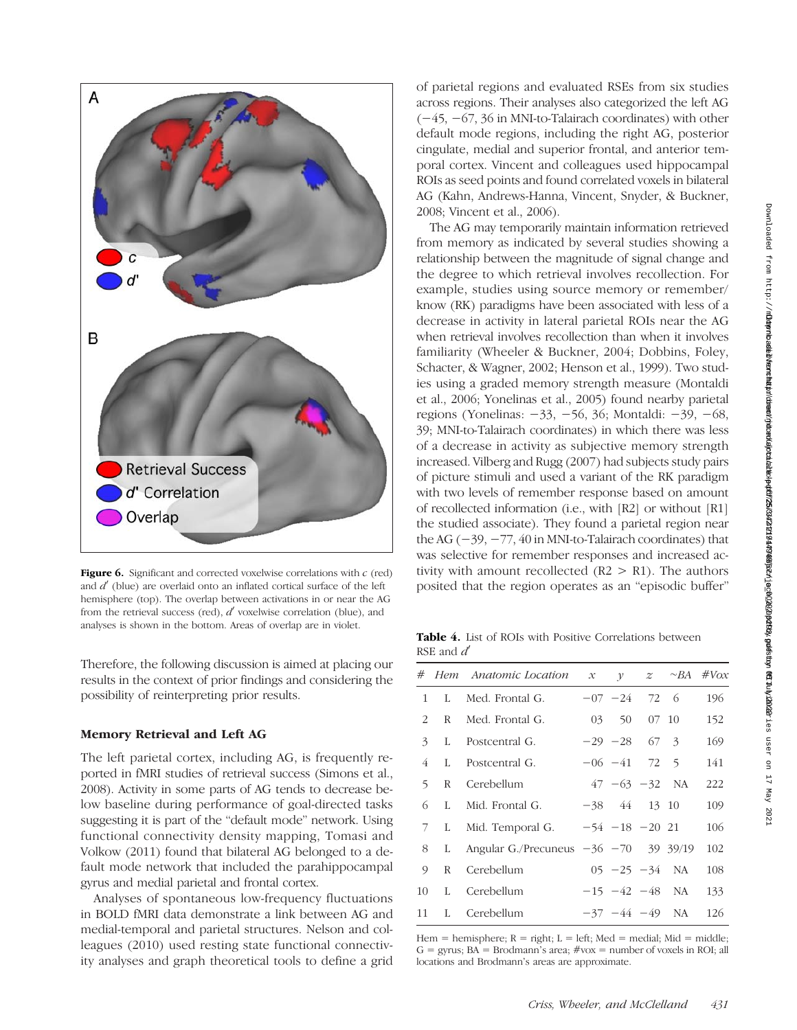

Figure 6. Significant and corrected voxelwise correlations with  $c$  (red) and  $d'$  (blue) are overlaid onto an inflated cortical surface of the left hemisphere (top). The overlap between activations in or near the AG from the retrieval success (red),  $d'$  voxelwise correlation (blue), and analyses is shown in the bottom. Areas of overlap are in violet.

Therefore, the following discussion is aimed at placing our results in the context of prior findings and considering the possibility of reinterpreting prior results.

#### Memory Retrieval and Left AG

The left parietal cortex, including AG, is frequently reported in fMRI studies of retrieval success (Simons et al., 2008). Activity in some parts of AG tends to decrease below baseline during performance of goal-directed tasks suggesting it is part of the "default mode" network. Using functional connectivity density mapping, Tomasi and Volkow (2011) found that bilateral AG belonged to a default mode network that included the parahippocampal gyrus and medial parietal and frontal cortex.

Analyses of spontaneous low-frequency fluctuations in BOLD fMRI data demonstrate a link between AG and medial-temporal and parietal structures. Nelson and colleagues (2010) used resting state functional connectivity analyses and graph theoretical tools to define a grid of parietal regions and evaluated RSEs from six studies across regions. Their analyses also categorized the left AG (−45, −67, 36 in MNI-to-Talairach coordinates) with other default mode regions, including the right AG, posterior cingulate, medial and superior frontal, and anterior temporal cortex. Vincent and colleagues used hippocampal ROIs as seed points and found correlated voxels in bilateral AG (Kahn, Andrews-Hanna, Vincent, Snyder, & Buckner, 2008; Vincent et al., 2006).

The AG may temporarily maintain information retrieved from memory as indicated by several studies showing a relationship between the magnitude of signal change and the degree to which retrieval involves recollection. For example, studies using source memory or remember/ know (RK) paradigms have been associated with less of a decrease in activity in lateral parietal ROIs near the AG when retrieval involves recollection than when it involves familiarity (Wheeler & Buckner, 2004; Dobbins, Foley, Schacter, & Wagner, 2002; Henson et al., 1999). Two studies using a graded memory strength measure (Montaldi et al., 2006; Yonelinas et al., 2005) found nearby parietal regions (Yonelinas: −33, −56, 36; Montaldi: −39, −68, 39; MNI-to-Talairach coordinates) in which there was less of a decrease in activity as subjective memory strength increased. Vilberg and Rugg (2007) had subjects study pairs of picture stimuli and used a variant of the RK paradigm with two levels of remember response based on amount of recollected information (i.e., with [R2] or without [R1] the studied associate). They found a parietal region near the AG (−39, −77, 40 in MNI-to-Talairach coordinates) that was selective for remember responses and increased activity with amount recollected  $(R2 > R1)$ . The authors posited that the region operates as an "episodic buffer"

Table 4. List of ROIs with Positive Correlations between RSE and  $d'$ 

| #             |             | Hem Anatomic Location                     | $\mathcal{X}$  | $\mathcal V$         |       | $z \sim BA$ | $\#Vox$ |
|---------------|-------------|-------------------------------------------|----------------|----------------------|-------|-------------|---------|
| $\mathbf{1}$  | L           | Med. Frontal G.                           |                | $-07$ $-24$ 72 6     |       |             | 196     |
| 2             | R           | Med. Frontal G.                           | 0 <sub>3</sub> | 50                   | 07 10 |             | 152     |
| $\mathcal{E}$ | L           | Postcentral G.                            |                | $-29$ $-28$ 67 3     |       |             | 169     |
| 4             | L           | Postcentral G.                            |                | $-06$ $-41$ 72 5     |       |             | 141     |
| 5             | $R_{\perp}$ | Cerebellum                                |                | $47 -63 -32$ NA      |       |             | 222     |
| 6             | L           | Mid. Frontal G.                           |                | $-38$ 44 13 10       |       |             | 109     |
| 7             |             | L Mid. Temporal G.                        |                | $-54$ $-18$ $-20$ 21 |       |             | 106     |
| 8             | L.          | Angular G./Precuneus $-36$ $-70$ 39 39/19 |                |                      |       |             | 102     |
| 9             | R           | Cerebellum                                |                | $05 -25 -34$ NA      |       |             | 108     |
| 10            | L           | Cerebellum                                |                | $-15$ $-42$ $-48$ NA |       |             | 133     |
| 11            | L           | Cerebellum                                |                | $-37 -44 -49$ NA     |       |             | 126     |

Hem = hemisphere;  $R = right$ ;  $L = left$ ; Med = medial; Mid = middle;  $G =$  gyrus;  $BA =$  Brodmann's area;  $\#$ vox = number of voxels in ROI; all locations and Brodmann's areas are approximate.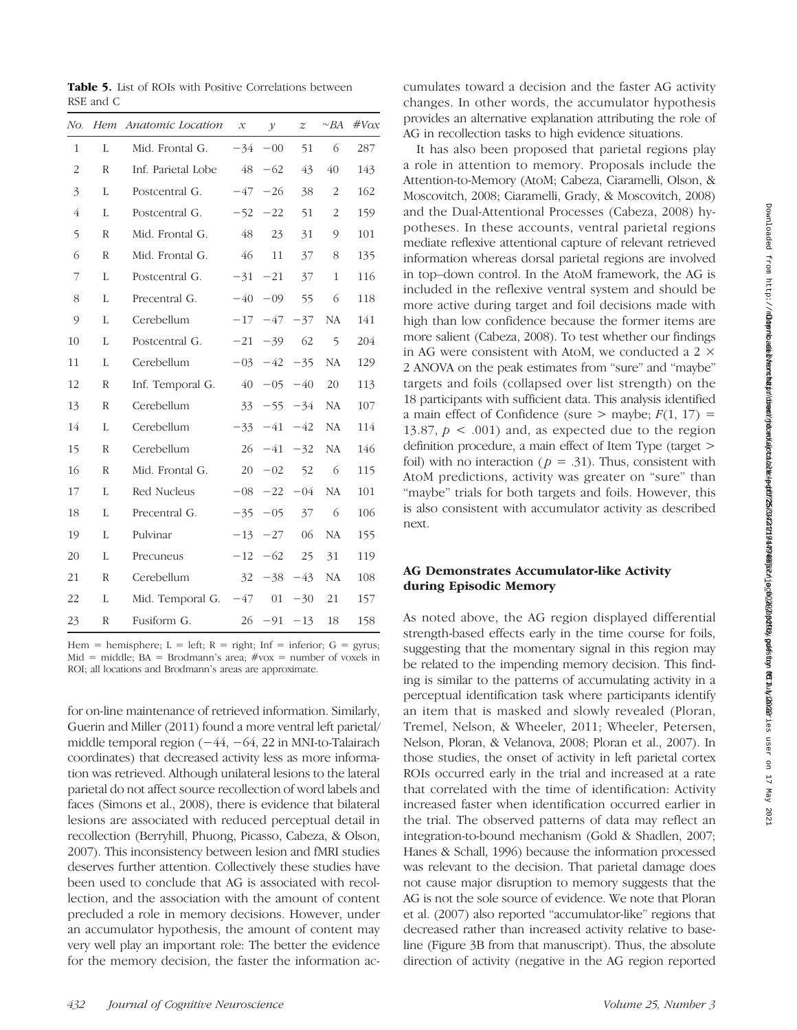Table 5. List of ROIs with Positive Correlations between RSE and C

| No.            |              | Hem Anatomic Location | $\mathcal{X}% _{0}$ | $\mathcal{Y}$ | $\boldsymbol{z}$ | $\sim$ BA      | $\#Vox$ |
|----------------|--------------|-----------------------|---------------------|---------------|------------------|----------------|---------|
| 1              | L            | Mid. Frontal G.       | $-34$               | $-00$         | 51               | 6              | 287     |
| $\overline{2}$ | $\mathbb{R}$ | Inf. Parietal Lobe    | 48                  | $-62$         | 43               | 40             | 143     |
| $\mathfrak{Z}$ | L            | Postcentral G.        | $-47$               | $-26$         | 38               | $\overline{2}$ | 162     |
| $\overline{4}$ | L            | Postcentral G.        | $-52$               | $-22$         | 51               | $\overline{2}$ | 159     |
| 5              | R            | Mid. Frontal G.       | 48                  | 23            | 31               | 9              | 101     |
| 6              | $\mathbb{R}$ | Mid. Frontal G.       | 46                  | 11            | 37               | 8              | 135     |
| 7              | L            | Postcentral G.        | $-31$               | $-21$         | 37               | $\mathbf{1}$   | 116     |
| 8              | L            | Precentral G.         | $-40$               | $-09$         | 55               | 6              | 118     |
| 9              | L            | Cerebellum            | $-17$               | $-47$         | $-37$            | NA             | 141     |
| 10             | L            | Postcentral G.        | $-21$               | $-39$         | 62               | 5              | 204     |
| 11             | L            | Cerebellum            | $-0.3$              | $-42$         | $-35$            | <b>NA</b>      | 129     |
| 12             | $\mathbb{R}$ | Inf. Temporal G.      | 40                  | $-05$         | $-40$            | 20             | 113     |
| 13             | R            | Cerebellum            | 33                  | $-55$         | $-34$            | <b>NA</b>      | 107     |
| 14             | L            | Cerebellum            | $-33$               | $-41$         | $-42$            | <b>NA</b>      | 114     |
| 15             | R            | Cerebellum            | 26                  | $-41$         | $-32$            | NA             | 146     |
| 16             | $\mathbb{R}$ | Mid. Frontal G.       | 20                  | $-02$         | 52               | 6              | 115     |
| 17             | L            | Red Nucleus           | $-08$               | $-22$         | $-04$            | <b>NA</b>      | 101     |
| 18             | L            | Precentral G.         | $-35$               | $-05$         | 37               | 6              | 106     |
| 19             | L            | Pulvinar              | $-13$               | $-27$         | 06               | NA             | 155     |
| 20             | L            | Precuneus             | $-12$               | $-62$         | 25               | 31             | 119     |
| 21             | R            | Cerebellum            | 32                  | $-38$         | $-43$            | NA             | 108     |
| 22             | L            | Mid. Temporal G.      | $-47$               | 01            | $-30$            | 21             | 157     |
| 23             | R            | Fusiform G.           | 26                  | $-91$         | $-13$            | 18             | 158     |

Hem = hemisphere;  $L = left$ ;  $R = right$ ; Inf = inferior;  $G = gyrus$ ; Mid = middle;  $BA = Brodmann's area$ ;  $\#vox = number of voxels in$ ROI; all locations and Brodmann's areas are approximate.

for on-line maintenance of retrieved information. Similarly, Guerin and Miller (2011) found a more ventral left parietal/ middle temporal region (−44, −64, 22 in MNI-to-Talairach coordinates) that decreased activity less as more information was retrieved. Although unilateral lesions to the lateral parietal do not affect source recollection of word labels and faces (Simons et al., 2008), there is evidence that bilateral lesions are associated with reduced perceptual detail in recollection (Berryhill, Phuong, Picasso, Cabeza, & Olson, 2007). This inconsistency between lesion and fMRI studies deserves further attention. Collectively these studies have been used to conclude that AG is associated with recollection, and the association with the amount of content precluded a role in memory decisions. However, under an accumulator hypothesis, the amount of content may very well play an important role: The better the evidence for the memory decision, the faster the information accumulates toward a decision and the faster AG activity changes. In other words, the accumulator hypothesis provides an alternative explanation attributing the role of AG in recollection tasks to high evidence situations.

It has also been proposed that parietal regions play a role in attention to memory. Proposals include the Attention-to-Memory (AtoM; Cabeza, Ciaramelli, Olson, & Moscovitch, 2008; Ciaramelli, Grady, & Moscovitch, 2008) and the Dual-Attentional Processes (Cabeza, 2008) hypotheses. In these accounts, ventral parietal regions mediate reflexive attentional capture of relevant retrieved information whereas dorsal parietal regions are involved in top–down control. In the AtoM framework, the AG is included in the reflexive ventral system and should be more active during target and foil decisions made with high than low confidence because the former items are more salient (Cabeza, 2008). To test whether our findings in AG were consistent with AtoM, we conducted a  $2 \times$ 2 ANOVA on the peak estimates from "sure" and "maybe" targets and foils (collapsed over list strength) on the 18 participants with sufficient data. This analysis identified a main effect of Confidence (sure  $>$  maybe;  $F(1, 17) =$ 13.87,  $p < .001$  and, as expected due to the region definition procedure, a main effect of Item Type (target > foil) with no interaction ( $p = .31$ ). Thus, consistent with AtoM predictions, activity was greater on "sure" than "maybe" trials for both targets and foils. However, this is also consistent with accumulator activity as described next.

# AG Demonstrates Accumulator-like Activity during Episodic Memory

As noted above, the AG region displayed differential strength-based effects early in the time course for foils, suggesting that the momentary signal in this region may be related to the impending memory decision. This finding is similar to the patterns of accumulating activity in a perceptual identification task where participants identify an item that is masked and slowly revealed (Ploran, Tremel, Nelson, & Wheeler, 2011; Wheeler, Petersen, Nelson, Ploran, & Velanova, 2008; Ploran et al., 2007). In those studies, the onset of activity in left parietal cortex ROIs occurred early in the trial and increased at a rate that correlated with the time of identification: Activity increased faster when identification occurred earlier in the trial. The observed patterns of data may reflect an integration-to-bound mechanism (Gold & Shadlen, 2007; Hanes & Schall, 1996) because the information processed was relevant to the decision. That parietal damage does not cause major disruption to memory suggests that the AG is not the sole source of evidence. We note that Ploran et al. (2007) also reported "accumulator-like" regions that decreased rather than increased activity relative to baseline (Figure 3B from that manuscript). Thus, the absolute direction of activity (negative in the AG region reported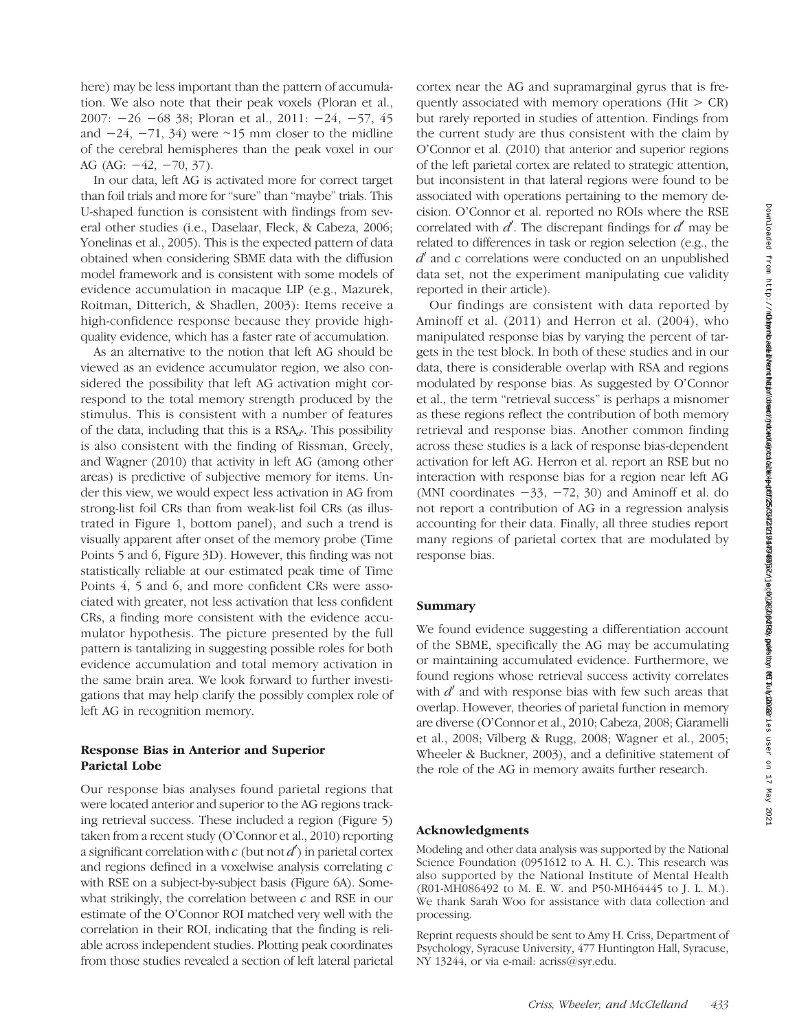here) may be less important than the pattern of accumulation. We also note that their peak voxels (Ploran et al., 2007: −26 −68 38; Ploran et al., 2011: −24, −57, 45 and  $-24$ ,  $-71$ , 34) were ∼15 mm closer to the midline of the cerebral hemispheres than the peak voxel in our AG (AG: −42, −70, 37).

In our data, left AG is activated more for correct target than foil trials and more for "sure" than "maybe" trials. This U-shaped function is consistent with findings from several other studies (i.e., Daselaar, Fleck, & Cabeza, 2006; Yonelinas et al., 2005). This is the expected pattern of data obtained when considering SBME data with the diffusion model framework and is consistent with some models of evidence accumulation in macaque LIP (e.g., Mazurek, Roitman, Ditterich, & Shadlen, 2003): Items receive a high-confidence response because they provide highquality evidence, which has a faster rate of accumulation.

As an alternative to the notion that left AG should be viewed as an evidence accumulator region, we also considered the possibility that left AG activation might correspond to the total memory strength produced by the stimulus. This is consistent with a number of features of the data, including that this is a  $RSA_{d}$ . This possibility is also consistent with the finding of Rissman, Greely, and Wagner (2010) that activity in left AG (among other areas) is predictive of subjective memory for items. Under this view, we would expect less activation in AG from strong-list foil CRs than from weak-list foil CRs (as illustrated in Figure 1, bottom panel), and such a trend is visually apparent after onset of the memory probe (Time Points 5 and 6, Figure 3D). However, this finding was not statistically reliable at our estimated peak time of Time Points 4, 5 and 6, and more confident CRs were associated with greater, not less activation that less confident CRs, a finding more consistent with the evidence accumulator hypothesis. The picture presented by the full pattern is tantalizing in suggesting possible roles for both evidence accumulation and total memory activation in the same brain area. We look forward to further investigations that may help clarify the possibly complex role of left AG in recognition memory.

# Response Bias in Anterior and Superior Parietal Lobe

Our response bias analyses found parietal regions that were located anterior and superior to the AG regions tracking retrieval success. These included a region (Figure 5) taken from a recent study (O'Connor et al., 2010) reporting a significant correlation with  $c$  (but not  $d'$ ) in parietal cortex and regions defined in a voxelwise analysis correlating c with RSE on a subject-by-subject basis (Figure 6A). Somewhat strikingly, the correlation between  $c$  and RSE in our estimate of the O'Connor ROI matched very well with the correlation in their ROI, indicating that the finding is reliable across independent studies. Plotting peak coordinates from those studies revealed a section of left lateral parietal

cortex near the AG and supramarginal gyrus that is frequently associated with memory operations (Hit  $>$  CR) but rarely reported in studies of attention. Findings from the current study are thus consistent with the claim by O'Connor et al. (2010) that anterior and superior regions of the left parietal cortex are related to strategic attention, but inconsistent in that lateral regions were found to be associated with operations pertaining to the memory decision. O'Connor et al. reported no ROIs where the RSE correlated with  $d'$ . The discrepant findings for  $d'$  may be related to differences in task or region selection (e.g., the  $d'$  and c correlations were conducted on an unpublished data set, not the experiment manipulating cue validity reported in their article).

Our findings are consistent with data reported by Aminoff et al. (2011) and Herron et al. (2004), who manipulated response bias by varying the percent of targets in the test block. In both of these studies and in our data, there is considerable overlap with RSA and regions modulated by response bias. As suggested by O'Connor et al., the term "retrieval success" is perhaps a misnomer as these regions reflect the contribution of both memory retrieval and response bias. Another common finding across these studies is a lack of response bias-dependent activation for left AG. Herron et al. report an RSE but no interaction with response bias for a region near left AG (MNI coordinates −33, −72, 30) and Aminoff et al. do not report a contribution of AG in a regression analysis accounting for their data. Finally, all three studies report many regions of parietal cortex that are modulated by response bias.

#### Summary

We found evidence suggesting a differentiation account of the SBME, specifically the AG may be accumulating or maintaining accumulated evidence. Furthermore, we found regions whose retrieval success activity correlates with  $d'$  and with response bias with few such areas that overlap. However, theories of parietal function in memory are diverse (O'Connor et al., 2010; Cabeza, 2008; Ciaramelli et al., 2008; Vilberg & Rugg, 2008; Wagner et al., 2005; Wheeler & Buckner, 2003), and a definitive statement of the role of the AG in memory awaits further research.

### Acknowledgments

Modeling and other data analysis was supported by the National Science Foundation (0951612 to A. H. C.). This research was also supported by the National Institute of Mental Health (R01-MH086492 to M. E. W. and P50-MH64445 to J. L. M.). We thank Sarah Woo for assistance with data collection and processing.

Reprint requests should be sent to Amy H. Criss, Department of Psychology, Syracuse University, 477 Huntington Hall, Syracuse, NY 13244, or via e-mail: acriss@syr.edu.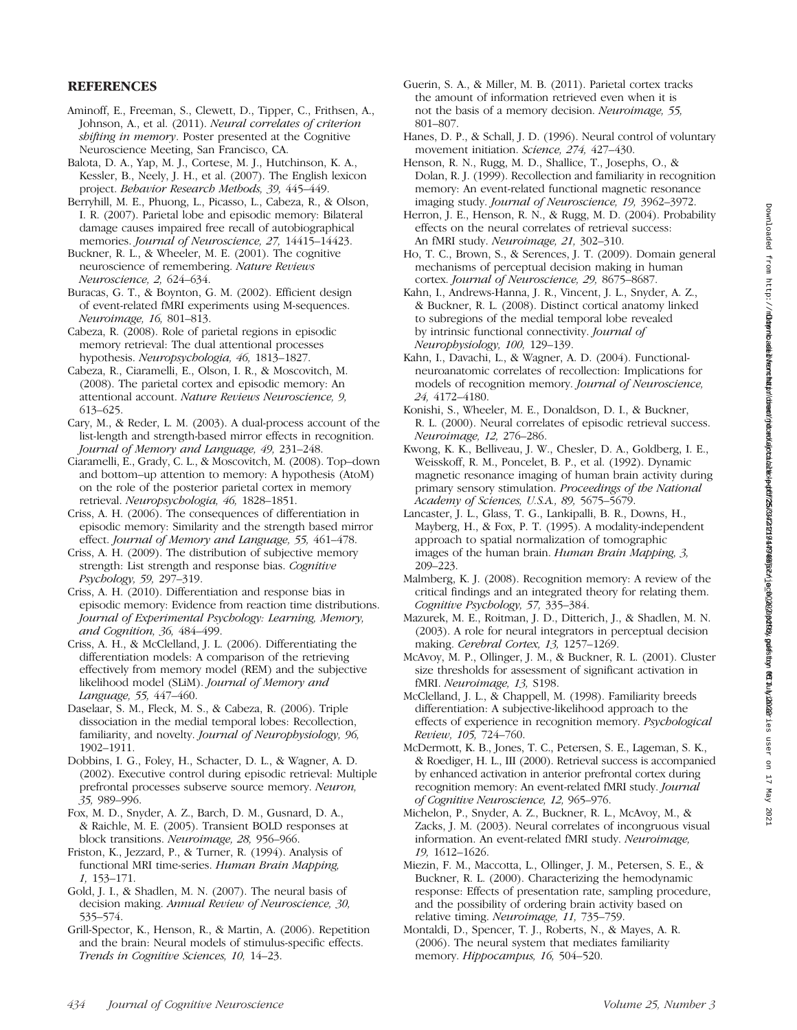# **REFERENCES**

- Aminoff, E., Freeman, S., Clewett, D., Tipper, C., Frithsen, A., Johnson, A., et al. (2011). Neural correlates of criterion shifting in memory. Poster presented at the Cognitive Neuroscience Meeting, San Francisco, CA.
- Balota, D. A., Yap, M. J., Cortese, M. J., Hutchinson, K. A., Kessler, B., Neely, J. H., et al. (2007). The English lexicon project. Behavior Research Methods, 39, 445–449.
- Berryhill, M. E., Phuong, L., Picasso, L., Cabeza, R., & Olson, I. R. (2007). Parietal lobe and episodic memory: Bilateral damage causes impaired free recall of autobiographical memories. Journal of Neuroscience, 27, 14415-14423.
- Buckner, R. L., & Wheeler, M. E. (2001). The cognitive neuroscience of remembering. Nature Reviews Neuroscience, 2, 624–634.
- Buracas, G. T., & Boynton, G. M. (2002). Efficient design of event-related fMRI experiments using M-sequences. Neuroimage, 16, 801–813.
- Cabeza, R. (2008). Role of parietal regions in episodic memory retrieval: The dual attentional processes hypothesis. Neuropsychologia, 46, 1813–1827.
- Cabeza, R., Ciaramelli, E., Olson, I. R., & Moscovitch, M. (2008). The parietal cortex and episodic memory: An attentional account. Nature Reviews Neuroscience, 9, 613–625.
- Cary, M., & Reder, L. M. (2003). A dual-process account of the list-length and strength-based mirror effects in recognition. Journal of Memory and Language, 49, 231–248.
- Ciaramelli, E., Grady, C. L., & Moscovitch, M. (2008). Top–down and bottom–up attention to memory: A hypothesis (AtoM) on the role of the posterior parietal cortex in memory retrieval. Neuropsychologia, 46, 1828–1851.
- Criss, A. H. (2006). The consequences of differentiation in episodic memory: Similarity and the strength based mirror effect. Journal of Memory and Language, 55, 461–478.
- Criss, A. H. (2009). The distribution of subjective memory strength: List strength and response bias. Cognitive Psychology, 59, 297–319.
- Criss, A. H. (2010). Differentiation and response bias in episodic memory: Evidence from reaction time distributions. Journal of Experimental Psychology: Learning, Memory, and Cognition, 36, 484–499.
- Criss, A. H., & McClelland, J. L. (2006). Differentiating the differentiation models: A comparison of the retrieving effectively from memory model (REM) and the subjective likelihood model (SLiM). Journal of Memory and Language, 55, 447–460.
- Daselaar, S. M., Fleck, M. S., & Cabeza, R. (2006). Triple dissociation in the medial temporal lobes: Recollection, familiarity, and novelty. Journal of Neurophysiology, 96, 1902–1911.
- Dobbins, I. G., Foley, H., Schacter, D. L., & Wagner, A. D. (2002). Executive control during episodic retrieval: Multiple prefrontal processes subserve source memory. Neuron, 35, 989–996.
- Fox, M. D., Snyder, A. Z., Barch, D. M., Gusnard, D. A., & Raichle, M. E. (2005). Transient BOLD responses at block transitions. Neuroimage, 28, 956–966.
- Friston, K., Jezzard, P., & Turner, R. (1994). Analysis of functional MRI time-series. Human Brain Mapping, 1, 153–171.
- Gold, J. I., & Shadlen, M. N. (2007). The neural basis of decision making. Annual Review of Neuroscience, 30, 535–574.
- Grill-Spector, K., Henson, R., & Martin, A. (2006). Repetition and the brain: Neural models of stimulus-specific effects. Trends in Cognitive Sciences, 10, 14–23.
- Guerin, S. A., & Miller, M. B. (2011). Parietal cortex tracks the amount of information retrieved even when it is not the basis of a memory decision. Neuroimage, 55, 801–807.
- Hanes, D. P., & Schall, J. D. (1996). Neural control of voluntary movement initiation. Science, 274, 427–430.
- Henson, R. N., Rugg, M. D., Shallice, T., Josephs, O., & Dolan, R. J. (1999). Recollection and familiarity in recognition memory: An event-related functional magnetic resonance imaging study. Journal of Neuroscience, 19, 3962–3972.
- Herron, J. E., Henson, R. N., & Rugg, M. D. (2004). Probability effects on the neural correlates of retrieval success: An fMRI study. Neuroimage, 21, 302–310.
- Ho, T. C., Brown, S., & Serences, J. T. (2009). Domain general mechanisms of perceptual decision making in human cortex. Journal of Neuroscience, 29, 8675–8687.
- Kahn, I., Andrews-Hanna, J. R., Vincent, J. L., Snyder, A. Z., & Buckner, R. L. (2008). Distinct cortical anatomy linked to subregions of the medial temporal lobe revealed by intrinsic functional connectivity. Journal of Neurophysiology, 100, 129–139.
- Kahn, I., Davachi, L., & Wagner, A. D. (2004). Functionalneuroanatomic correlates of recollection: Implications for models of recognition memory. Journal of Neuroscience, 24, 4172–4180.
- Konishi, S., Wheeler, M. E., Donaldson, D. I., & Buckner, R. L. (2000). Neural correlates of episodic retrieval success. Neuroimage, 12, 276–286.
- Kwong, K. K., Belliveau, J. W., Chesler, D. A., Goldberg, I. E., Weisskoff, R. M., Poncelet, B. P., et al. (1992). Dynamic magnetic resonance imaging of human brain activity during primary sensory stimulation. Proceedings of the National Academy of Sciences, U.S.A., 89, 5675–5679.
- Lancaster, J. L., Glass, T. G., Lankipalli, B. R., Downs, H., Mayberg, H., & Fox, P. T. (1995). A modality-independent approach to spatial normalization of tomographic images of the human brain. Human Brain Mapping, 3, 209–223.
- Malmberg, K. J. (2008). Recognition memory: A review of the critical findings and an integrated theory for relating them. Cognitive Psychology, 57, 335–384.
- Mazurek, M. E., Roitman, J. D., Ditterich, J., & Shadlen, M. N. (2003). A role for neural integrators in perceptual decision making. Cerebral Cortex, 13, 1257–1269.
- McAvoy, M. P., Ollinger, J. M., & Buckner, R. L. (2001). Cluster size thresholds for assessment of significant activation in fMRI. Neuroimage, 13, S198.
- McClelland, J. L., & Chappell, M. (1998). Familiarity breeds differentiation: A subjective-likelihood approach to the effects of experience in recognition memory. Psychological Review, 105, 724–760.
- McDermott, K. B., Jones, T. C., Petersen, S. E., Lageman, S. K., & Roediger, H. L., III (2000). Retrieval success is accompanied by enhanced activation in anterior prefrontal cortex during recognition memory: An event-related fMRI study. Journal of Cognitive Neuroscience, 12, 965–976.
- Michelon, P., Snyder, A. Z., Buckner, R. L., McAvoy, M., & Zacks, J. M. (2003). Neural correlates of incongruous visual information. An event-related fMRI study. Neuroimage, 19, 1612–1626.
- Miezin, F. M., Maccotta, L., Ollinger, J. M., Petersen, S. E., & Buckner, R. L. (2000). Characterizing the hemodynamic response: Effects of presentation rate, sampling procedure, and the possibility of ordering brain activity based on relative timing. Neuroimage, 11, 735–759.
- Montaldi, D., Spencer, T. J., Roberts, N., & Mayes, A. R. (2006). The neural system that mediates familiarity memory. Hippocampus, 16, 504-520.